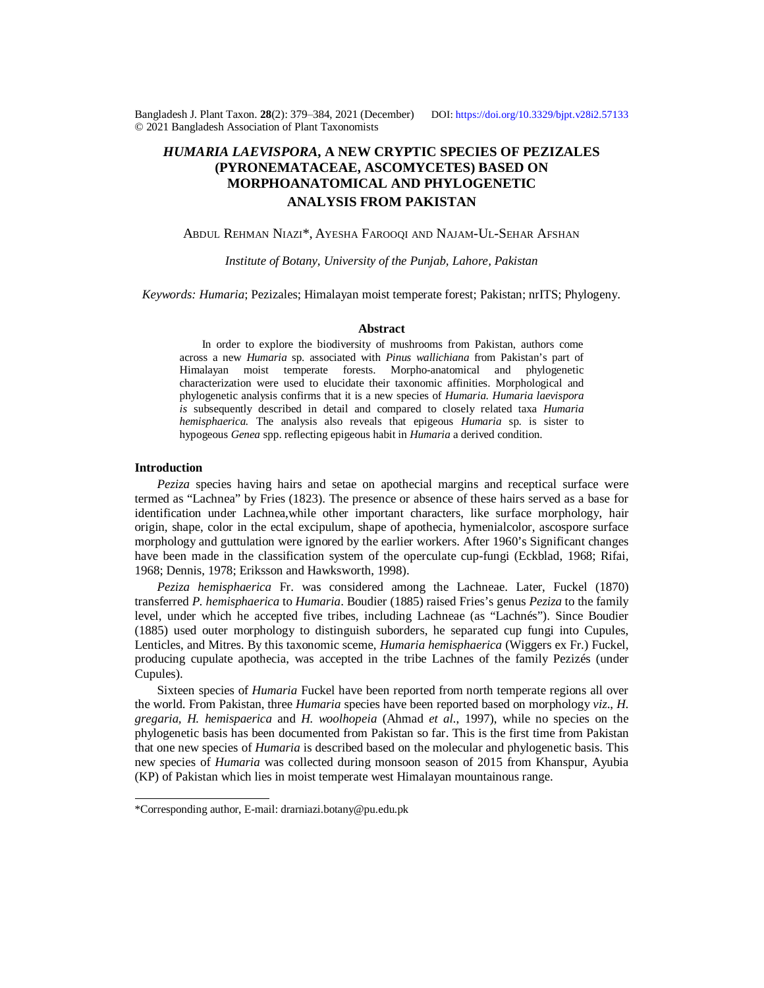Bangladesh J. Plant Taxon. **28**(2): 379‒384, 2021 (December) DOI:<https://doi.org/10.3329/bjpt.v28i2.57133> © 2021 Bangladesh Association of Plant Taxonomists

# *HUMARIA LAEVISPORA***, A NEW CRYPTIC SPECIES OF PEZIZALES (PYRONEMATACEAE, ASCOMYCETES) BASED ON MORPHOANATOMICAL AND PHYLOGENETIC ANALYSIS FROM PAKISTAN**

## ABDUL REHMAN NIAZI\*, AYESHA FAROOQI AND NAJAM-UL-SEHAR AFSHAN

*Institute of Botany, University of the Punjab, Lahore, Pakistan*

*Keywords: Humaria*; Pezizales; Himalayan moist temperate forest; Pakistan; nrITS; Phylogeny.

#### **Abstract**

In order to explore the biodiversity of mushrooms from Pakistan, authors come across a new *Humaria* sp. associated with *Pinus wallichiana* from Pakistan's part of Himalayan moist temperate forests. Morpho-anatomical and phylogenetic characterization were used to elucidate their taxonomic affinities. Morphological and phylogenetic analysis confirms that it is a new species of *Humaria*. *Humaria laevispora is* subsequently described in detail and compared to closely related taxa *Humaria hemisphaerica.* The analysis also reveals that epigeous *Humaria* sp. is sister to hypogeous *Genea* spp. reflecting epigeous habit in *Humaria* a derived condition.

#### **Introduction**

*Peziza* species having hairs and setae on apothecial margins and receptical surface were termed as "Lachnea" by Fries (1823). The presence or absence of these hairs served as a base for identification under Lachnea,while other important characters, like surface morphology, hair origin, shape, color in the ectal excipulum, shape of apothecia, hymenialcolor, ascospore surface morphology and guttulation were ignored by the earlier workers. After 1960's Significant changes have been made in the classification system of the operculate cup-fungi (Eckblad, 1968; Rifai, 1968; Dennis, 1978; Eriksson and Hawksworth, 1998).

*Peziza hemisphaerica* Fr. was considered among the Lachneae. Later, Fuckel (1870) transferred *P. hemisphaerica* to *Humaria*. Boudier (1885) raised Fries's genus *Peziza* to the family level, under which he accepted five tribes, including Lachneae (as "Lachnés"). Since Boudier (1885) used outer morphology to distinguish suborders, he separated cup fungi into Cupules, Lenticles, and Mitres. By this taxonomic sceme, *Humaria hemisphaerica* (Wiggers ex Fr.) Fuckel, producing cupulate apothecia, was accepted in the tribe Lachnes of the family Pezizés (under Cupules).

Sixteen species of *Humaria* Fuckel have been reported from north temperate regions all over the world. From Pakistan, three *Humaria* species have been reported based on morphology *viz*., *H. gregaria, H. hemispaerica* and *H. woolhopeia* (Ahmad *et al*., 1997), while no species on the phylogenetic basis has been documented from Pakistan so far. This is the first time from Pakistan that one new species of *Humaria* is described based on the molecular and phylogenetic basis. This new *s*pecies of *Humaria* was collected during monsoon season of 2015 from Khanspur, Ayubia (KP) of Pakistan which lies in moist temperate west Himalayan mountainous range.

<sup>\*</sup>Corresponding author, E-mail: [drarniazi.botany@pu.edu.pk](mailto:drarniazi.botany@pu.edu.pk)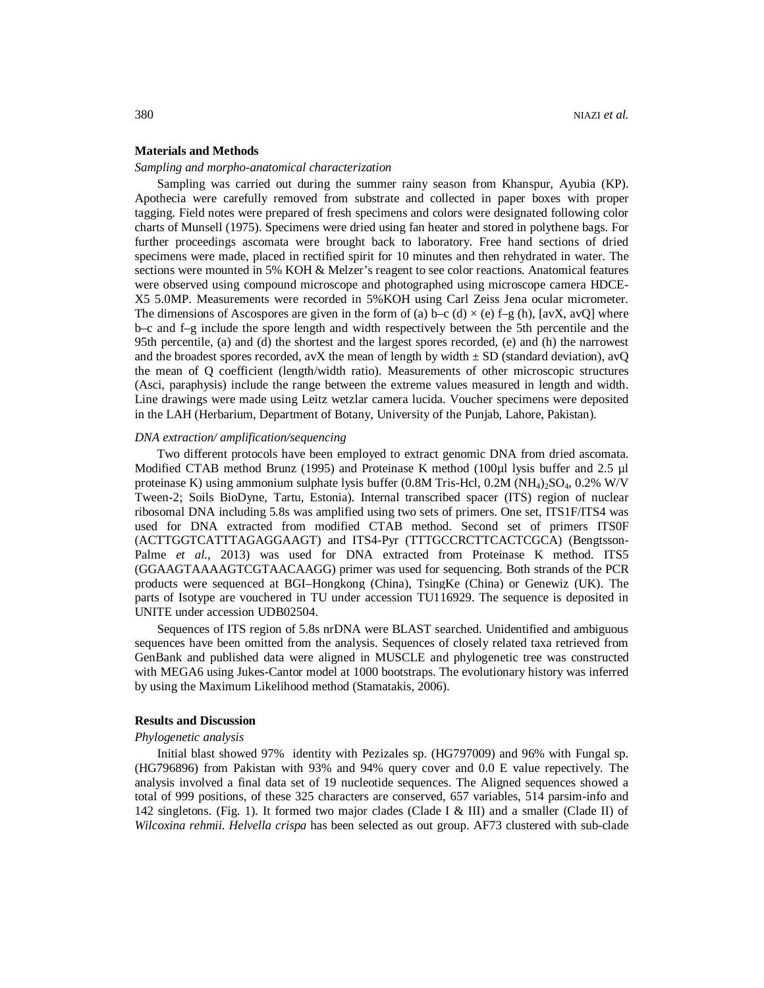#### **Materials and Methods**

### *Sampling and morpho-anatomical characterization*

Sampling was carried out during the summer rainy season from Khanspur, Ayubia (KP). Apothecia were carefully removed from substrate and collected in paper boxes with proper tagging. Field notes were prepared of fresh specimens and colors were designated following color charts of Munsell (1975). Specimens were dried using fan heater and stored in polythene bags. For further proceedings ascomata were brought back to laboratory. Free hand sections of dried specimens were made, placed in rectified spirit for 10 minutes and then rehydrated in water. The sections were mounted in 5% KOH & Melzer's reagent to see color reactions. Anatomical features were observed using compound microscope and photographed using microscope camera HDCE-X5 5.0MP. Measurements were recorded in 5%KOH using Carl Zeiss Jena ocular micrometer. The dimensions of Ascospores are given in the form of (a) b–c (d)  $\times$  (e) f–g (h), [avX, avQ] where b–c and f–g include the spore length and width respectively between the 5th percentile and the 95th percentile, (a) and (d) the shortest and the largest spores recorded, (e) and (h) the narrowest and the broadest spores recorded, avX the mean of length by width  $\pm$  SD (standard deviation), avQ the mean of Q coefficient (length/width ratio). Measurements of other microscopic structures (Asci, paraphysis) include the range between the extreme values measured in length and width. Line drawings were made using Leitz wetzlar camera lucida. Voucher specimens were deposited in the LAH (Herbarium, Department of Botany, University of the Punjab, Lahore, Pakistan).

#### *DNA extraction/ amplification/sequencing*

Two different protocols have been employed to extract genomic DNA from dried ascomata. Modified CTAB method Brunz (1995) and Proteinase K method (100µl lysis buffer and 2.5 µl proteinase K) using ammonium sulphate lysis buffer  $(0.8M$  Tris-Hcl,  $0.2M$  (NH<sub>4</sub>)<sub>2</sub>SO<sub>4</sub>,  $0.2\%$  W/V Tween-2; Soils BioDyne, Tartu, Estonia). Internal transcribed spacer (ITS) region of nuclear ribosomal DNA including 5.8s was amplified using two sets of primers. One set, ITS1F/ITS4 was used for DNA extracted from modified CTAB method. Second set of primers ITS0F (ACTTGGTCATTTAGAGGAAGT) and ITS4-Pyr (TTTGCCRCTTCACTCGCA) (Bengtsson-Palme *et al.*, 2013) was used for DNA extracted from Proteinase K method. ITS5 (GGAAGTAAAAGTCGTAACAAGG) primer was used for sequencing. Both strands of the PCR products were sequenced at BGI–Hongkong (China), TsingKe (China) or Genewiz (UK). The parts of Isotype are vouchered in TU under accession TU116929. The sequence is deposited in UNITE under accession UDB02504.

Sequences of ITS region of 5.8s nrDNA were BLAST searched. Unidentified and ambiguous sequences have been omitted from the analysis. Sequences of closely related taxa retrieved from GenBank and published data were aligned in MUSCLE and phylogenetic tree was constructed with MEGA6 using Jukes-Cantor model at 1000 bootstraps. The evolutionary history was inferred by using the Maximum Likelihood method (Stamatakis, 2006).

#### **Results and Discussion**

#### *Phylogenetic analysis*

Initial blast showed 97% identity with Pezizales sp. (HG797009) and 96% with Fungal sp. (HG796896) from Pakistan with 93% and 94% query cover and 0.0 E value repectively. The analysis involved a final data set of 19 nucleotide sequences. The Aligned sequences showed a total of 999 positions, of these 325 characters are conserved, 657 variables, 514 parsim-info and 142 singletons. (Fig. 1). It formed two major clades (Clade I & III) and a smaller (Clade II) of *Wilcoxina rehmii*. *Helvella crispa* has been selected as out group. AF73 clustered with sub-clade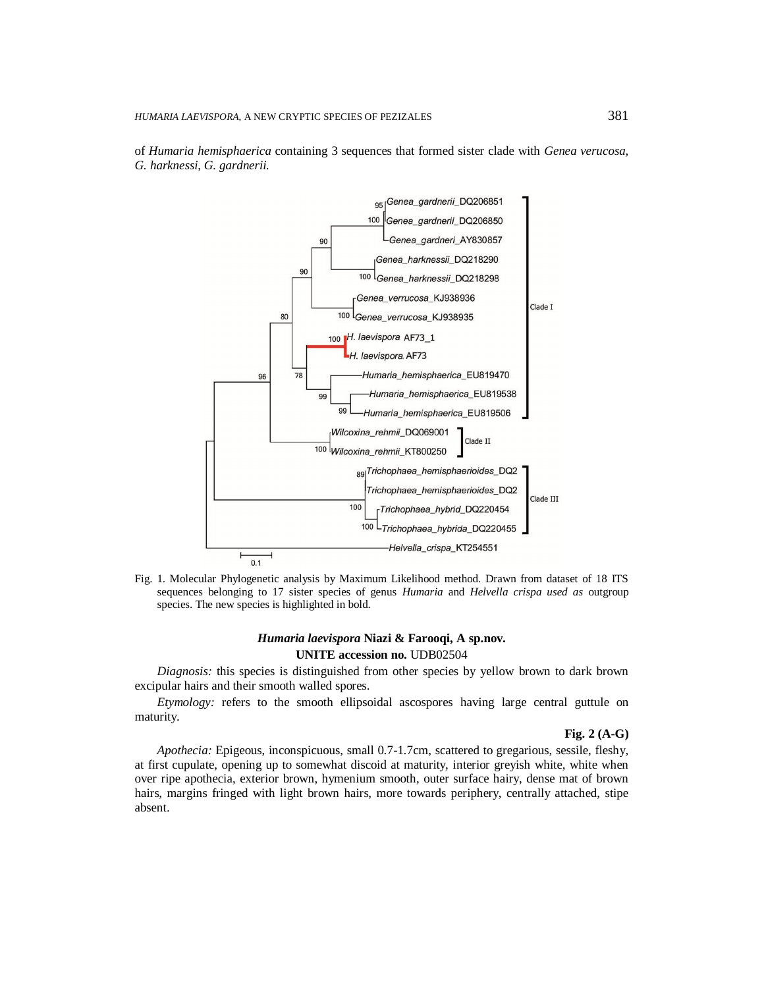

of *Humaria hemisphaerica* containing 3 sequences that formed sister clade with *Genea verucosa, G. harknessi, G. gardnerii.*

Fig. 1. Molecular Phylogenetic analysis by Maximum Likelihood method. Drawn from dataset of 18 ITS sequences belonging to 17 sister species of genus *Humaria* and *Helvella crispa used as* outgroup species. The new species is highlighted in bold.

# *Humaria laevispora* **Niazi & Farooqi, A sp.nov. UNITE accession no.** UDB02504

*Diagnosis:* this species is distinguished from other species by yellow brown to dark brown excipular hairs and their smooth walled spores.

*Etymology:* refers to the smooth ellipsoidal ascospores having large central guttule on maturity.

#### **Fig. 2 (A-G)**

*Apothecia:* Epigeous, inconspicuous, small 0.7-1.7cm, scattered to gregarious, sessile, fleshy, at first cupulate, opening up to somewhat discoid at maturity, interior greyish white, white when over ripe apothecia, exterior brown, hymenium smooth, outer surface hairy, dense mat of brown hairs, margins fringed with light brown hairs, more towards periphery, centrally attached, stipe absent.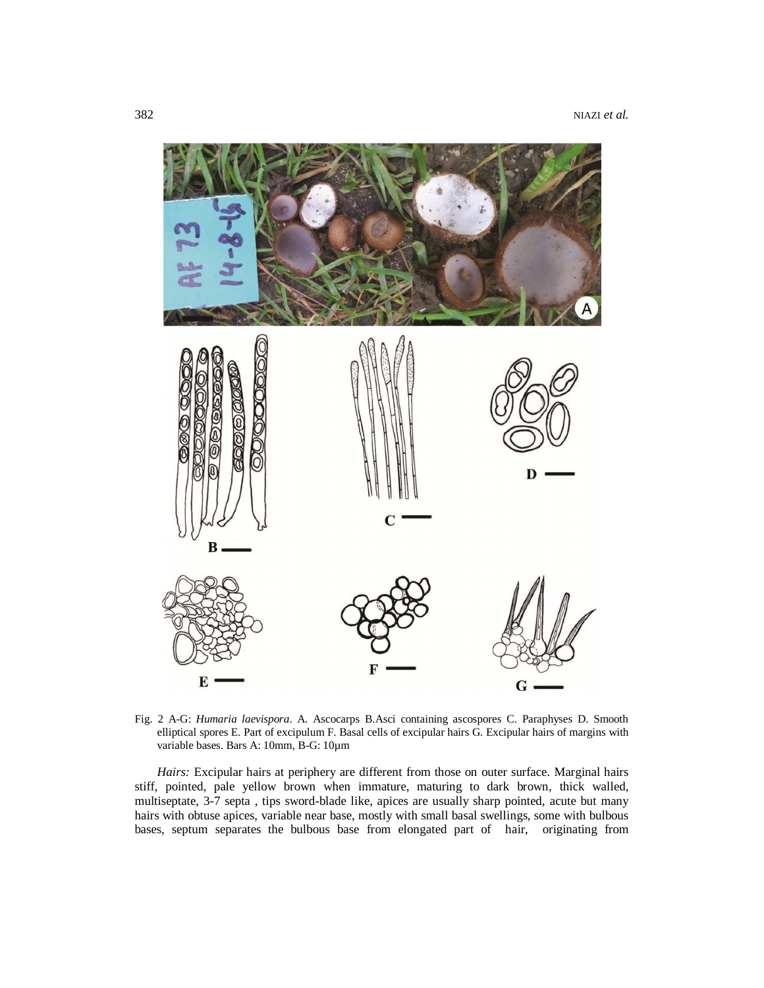

Fig. 2 A-G: *Humaria laevispora*. A. Ascocarps B.Asci containing ascospores C. Paraphyses D. Smooth elliptical spores E. Part of excipulum F. Basal cells of excipular hairs G. Excipular hairs of margins with variable bases. Bars A: 10mm, B-G: 10µm

*Hairs:* Excipular hairs at periphery are different from those on outer surface. Marginal hairs stiff, pointed, pale yellow brown when immature, maturing to dark brown, thick walled, multiseptate, 3-7 septa , tips sword-blade like, apices are usually sharp pointed, acute but many hairs with obtuse apices, variable near base, mostly with small basal swellings, some with bulbous bases, septum separates the bulbous base from elongated part of hair, originating from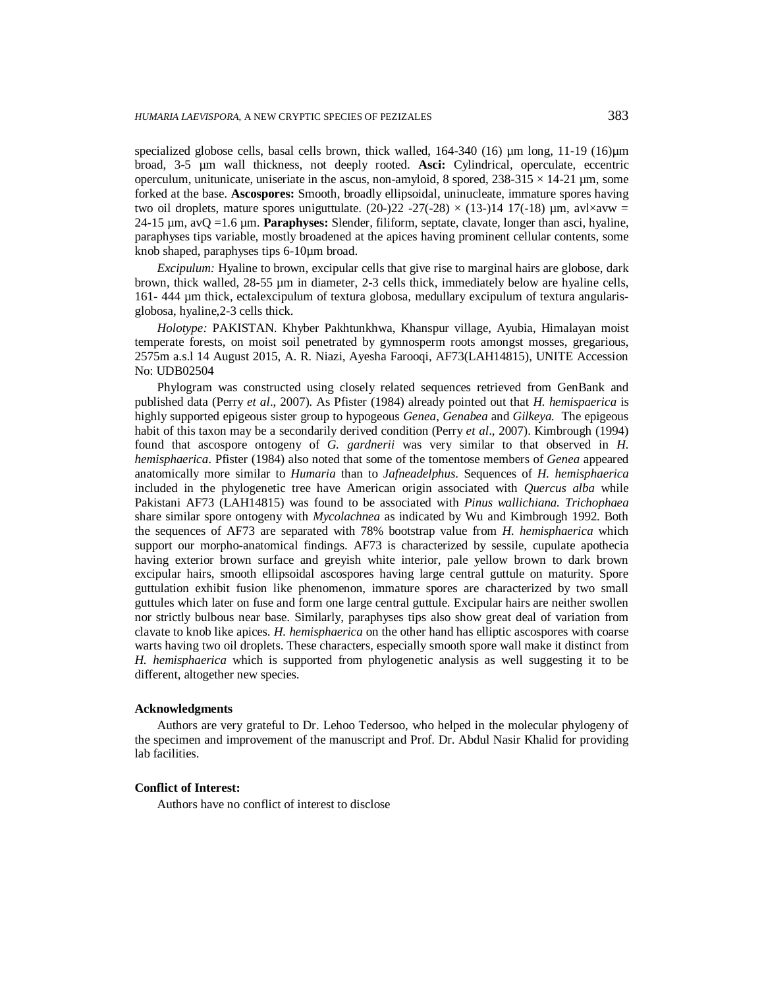specialized globose cells, basal cells brown, thick walled,  $164-340$  (16)  $\mu$ m long,  $11-19$  (16) $\mu$ m broad, 3-5 µm wall thickness, not deeply rooted. **Asci:** Cylindrical, operculate, eccentric operculum, unitunicate, uniseriate in the ascus, non-amyloid, 8 spored,  $238-315 \times 14-21$  µm, some forked at the base. **Ascospores:** Smooth, broadly ellipsoidal, uninucleate, immature spores having two oil droplets, mature spores uniguttulate. (20-)22 -27(-28)  $\times$  (13-)14 17(-18)  $\mu$ m, avl $\times$ avw = 24-15 µm, avQ =1.6 µm. **Paraphyses:** Slender, filiform, septate, clavate, longer than asci, hyaline, paraphyses tips variable, mostly broadened at the apices having prominent cellular contents, some knob shaped, paraphyses tips 6-10µm broad.

*Excipulum:* Hyaline to brown, excipular cells that give rise to marginal hairs are globose, dark brown, thick walled, 28-55 µm in diameter, 2-3 cells thick, immediately below are hyaline cells, 161- 444 µm thick, ectalexcipulum of textura globosa, medullary excipulum of textura angularisglobosa, hyaline,2-3 cells thick.

*Holotype:* PAKISTAN. Khyber Pakhtunkhwa, Khanspur village, Ayubia, Himalayan moist temperate forests, on moist soil penetrated by gymnosperm roots amongst mosses, gregarious, 2575m a.s.l 14 August 2015, A. R. Niazi, Ayesha Farooqi, AF73(LAH14815), UNITE Accession No: UDB02504

Phylogram was constructed using closely related sequences retrieved from GenBank and published data (Perry *et al*., 2007). As Pfister (1984) already pointed out that *H. hemispaerica* is highly supported epigeous sister group to hypogeous *Genea*, *Genabea* and *Gilkeya.* The epigeous habit of this taxon may be a secondarily derived condition (Perry *et al*., 2007). Kimbrough (1994) found that ascospore ontogeny of *G. gardnerii* was very similar to that observed in *H. hemisphaerica*. Pfister (1984) also noted that some of the tomentose members of *Genea* appeared anatomically more similar to *Humaria* than to *Jafneadelphus*. Sequences of *H. hemisphaerica* included in the phylogenetic tree have American origin associated with *Quercus alba* while Pakistani AF73 (LAH14815) was found to be associated with *Pinus wallichiana. Trichophaea*  share similar spore ontogeny with *Mycolachnea* as indicated by Wu and Kimbrough 1992. Both the sequences of AF73 are separated with 78% bootstrap value from *H. hemisphaerica* which support our morpho-anatomical findings. AF73 is characterized by sessile, cupulate apothecia having exterior brown surface and greyish white interior, pale yellow brown to dark brown excipular hairs, smooth ellipsoidal ascospores having large central guttule on maturity. Spore guttulation exhibit fusion like phenomenon, immature spores are characterized by two small guttules which later on fuse and form one large central guttule. Excipular hairs are neither swollen nor strictly bulbous near base. Similarly, paraphyses tips also show great deal of variation from clavate to knob like apices. *H. hemisphaerica* on the other hand has elliptic ascospores with coarse warts having two oil droplets. These characters, especially smooth spore wall make it distinct from *H. hemisphaerica* which is supported from phylogenetic analysis as well suggesting it to be different, altogether new species.

#### **Acknowledgments**

Authors are very grateful to Dr. Lehoo Tedersoo, who helped in the molecular phylogeny of the specimen and improvement of the manuscript and Prof. Dr. Abdul Nasir Khalid for providing lab facilities.

### **Conflict of Interest:**

Authors have no conflict of interest to disclose